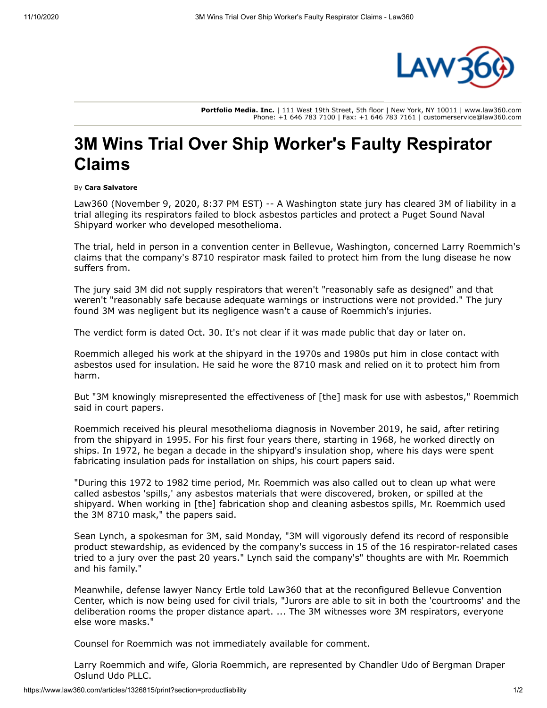

**Portfolio Media. Inc.** | 111 West 19th Street, 5th floor | New York, NY 10011 | www.law360.com Phone: +1 646 783 7100 | Fax: +1 646 783 7161 | customerservice@law360.com

## **3M Wins Trial Over Ship Worker's Faulty Respirator Claims**

## By **Cara Salvatore**

Law360 (November 9, 2020, 8:37 PM EST) -- A Washington state jury has cleared 3M of liability in a trial alleging its respirators failed to block asbestos particles and protect a Puget Sound Naval Shipyard worker who developed mesothelioma.

The trial, held in person in a convention center in Bellevue, Washington, concerned Larry Roemmich's claims that the company's 8710 respirator mask failed to protect him from the lung disease he now suffers from.

The jury said 3M did not supply respirators that weren't "reasonably safe as designed" and that weren't "reasonably safe because adequate warnings or instructions were not provided." The jury found 3M was negligent but its negligence wasn't a cause of Roemmich's injuries.

The verdict form is dated Oct. 30. It's not clear if it was made public that day or later on.

Roemmich alleged his work at the shipyard in the 1970s and 1980s put him in close contact with asbestos used for insulation. He said he wore the 8710 mask and relied on it to protect him from harm.

But "3M knowingly misrepresented the effectiveness of [the] mask for use with asbestos," Roemmich said in court papers.

Roemmich received his pleural mesothelioma diagnosis in November 2019, he said, after retiring from the shipyard in 1995. For his first four years there, starting in 1968, he worked directly on ships. In 1972, he began a decade in the shipyard's insulation shop, where his days were spent fabricating insulation pads for installation on ships, his court papers said.

"During this 1972 to 1982 time period, Mr. Roemmich was also called out to clean up what were called asbestos 'spills,' any asbestos materials that were discovered, broken, or spilled at the shipyard. When working in [the] fabrication shop and cleaning asbestos spills, Mr. Roemmich used the 3M 8710 mask," the papers said.

Sean Lynch, a spokesman for 3M, said Monday, "3M will vigorously defend its record of responsible product stewardship, as evidenced by the company's success in 15 of the 16 respirator-related cases tried to a jury over the past 20 years." Lynch said the company's" thoughts are with Mr. Roemmich and his family."

Meanwhile, defense lawyer Nancy Ertle told Law360 that at the reconfigured Bellevue Convention Center, which is now being used for civil trials, "Jurors are able to sit in both the 'courtrooms' and the deliberation rooms the proper distance apart. ... The 3M witnesses wore 3M respirators, everyone else wore masks."

Counsel for Roemmich was not immediately available for comment.

[Larry Roemmich and wife, Gloria Roemmich, are represented by Chandler Udo of Bergman Draper](https://www.law360.com/firms/bergman-draper) Oslund Udo PLLC.